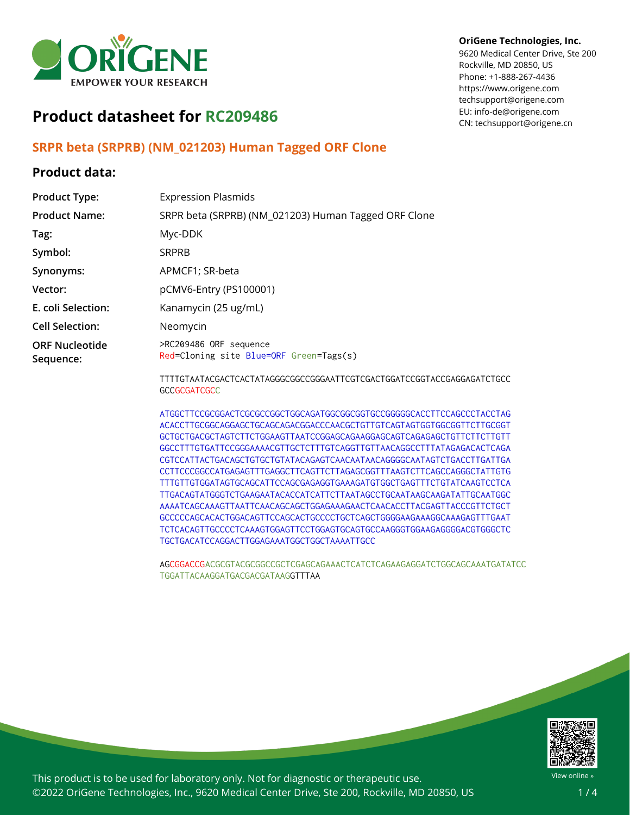

#### **OriGene Technologies, Inc.**

9620 Medical Center Drive, Ste 200 Rockville, MD 20850, US Phone: +1-888-267-4436 https://www.origene.com techsupport@origene.com EU: info-de@origene.com CN: techsupport@origene.cn

# **Product datasheet for RC209486**

### **SRPR beta (SRPRB) (NM\_021203) Human Tagged ORF Clone**

#### **Product data:**

| <b>Product Type:</b>               | <b>Expression Plasmids</b>                                        |
|------------------------------------|-------------------------------------------------------------------|
| <b>Product Name:</b>               | SRPR beta (SRPRB) (NM_021203) Human Tagged ORF Clone              |
| Tag:                               | Myc-DDK                                                           |
| Symbol:                            | <b>SRPRB</b>                                                      |
| Synonyms:                          | APMCF1; SR-beta                                                   |
| Vector:                            | pCMV6-Entry (PS100001)                                            |
| E. coli Selection:                 | Kanamycin (25 ug/mL)                                              |
| <b>Cell Selection:</b>             | Neomycin                                                          |
| <b>ORF Nucleotide</b><br>Sequence: | >RC209486 ORF sequence<br>Red=Cloning site Blue=ORF Green=Tags(s) |
|                                    | TTTTGTAATACGACTCACTATAGGGCGGCCGGGAATTCGTCGACTGGATCCGGTACCGAG      |

**GAGATCTGCC GCCGCGATCGCC** 

ATGGCTTCCGCGGACTCGCGCCGGCTGGCAGATGGCGGCGGTGCCGGGGGCACCTTCCAGCCCTACCTAG ACACCTTGCGGCAGGAGCTGCAGCAGACGGACCCAACGCTGTTGTCAGTAGTGGTGGCGGTTCTTGCGGT GCTGCTGACGCTAGTCTTCTGGAAGTTAATCCGGAGCAGAAGGAGCAGTCAGAGAGCTGTTCTTCTTGTT GGCCTTTGTGATTCCGGGAAAACGTTGCTCTTTGTCAGGTTGTTAACAGGCCTTTATAGAGACACTCAGA CGTCCATTACTGACAGCTGTGCTGTATACAGAGTCAACAATAACAGGGGCAATAGTCTGACCTTGATTGA CCTTCCCGGCCATGAGAGTTTGAGGCTTCAGTTCTTAGAGCGGTTTAAGTCTTCAGCCAGGGCTATTGTG TTTGTTGTGGATAGTGCAGCATTCCAGCGAGAGGTGAAAGATGTGGCTGAGTTTCTGTATCAAGTCCTCA TTGACAGTATGGGTCTGAAGAATACACCATCATTCTTAATAGCCTGCAATAAGCAAGATATTGCAATGGC AAAATCAGCAAAGTTAATTCAACAGCAGCTGGAGAAAGAACTCAACACCTTACGAGTTACCCGTTCTGCT GCCCCCAGCACACTGGACAGTTCCAGCACTGCCCCTGCTCAGCTGGGGAAGAAAGGCAAAGAGTTTGAAT TCTCACAGTTGCCCCTCAAAGTGGAGTTCCTGGAGTGCAGTGCCAAGGGTGGAAGAGGGGACGTGGGCTC TGCTGACATCCAGGACTTGGAGAAATGGCTGGCTAAAATTGCC

AGCGGACCGACGCGTACGCGGCCGCTCGAGCAGAAACTCATCTCAGAAGAGGATCTGGCAGCAAATGATATCC TGGATTACAAGGATGACGACGATAAGGTTTAA



This product is to be used for laboratory only. Not for diagnostic or therapeutic use. ©2022 OriGene Technologies, Inc., 9620 Medical Center Drive, Ste 200, Rockville, MD 20850, US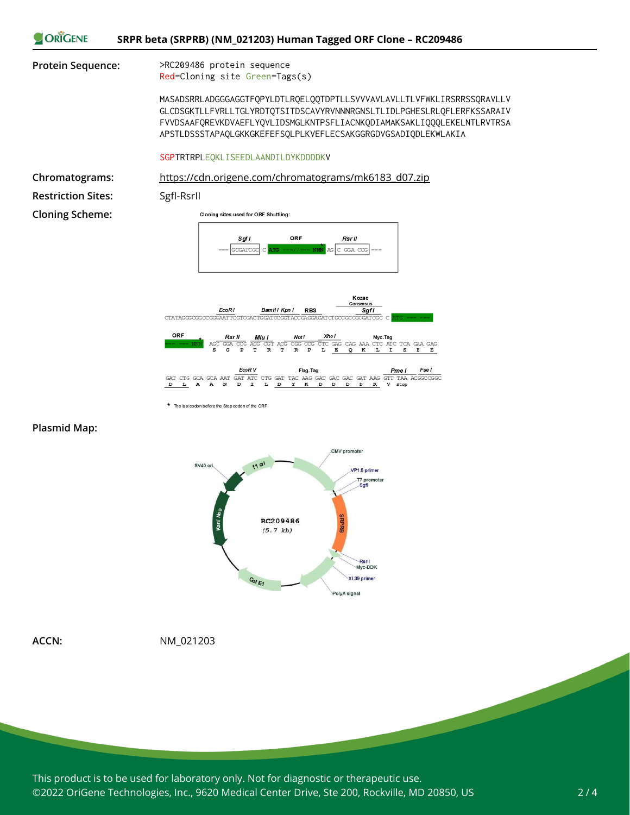

**Plasmid Map:**



**ACCN:** NM\_021203

\* The last codon before the Stop codon of the ORF

This product is to be used for laboratory only. Not for diagnostic or therapeutic use. ©2022 OriGene Technologies, Inc., 9620 Medical Center Drive, Ste 200, Rockville, MD 20850, US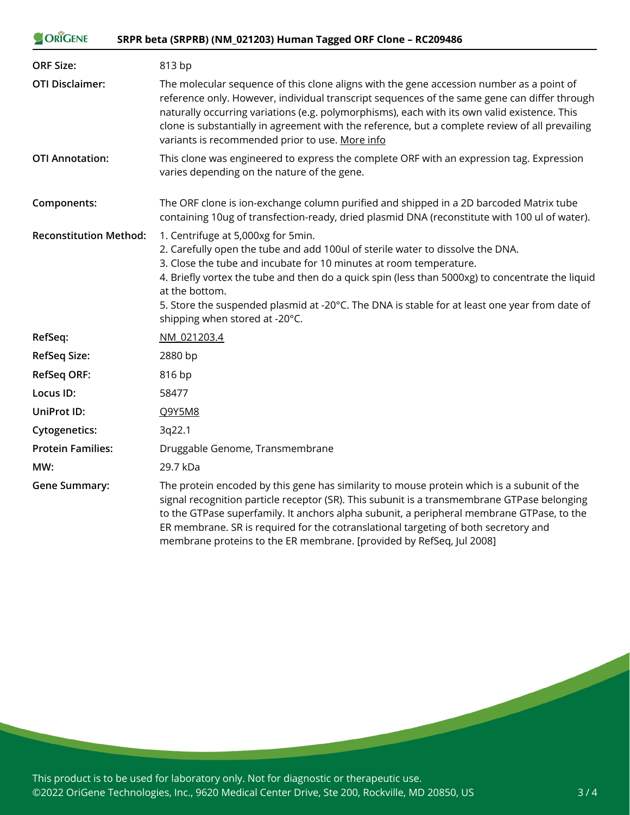| ORIGENE<br>SRPR beta (SRPRB) (NM_021203) Human Tagged ORF Clone - RC209486 |                                                                                                                                                                                                                                                                                                                                                                                                                                                       |
|----------------------------------------------------------------------------|-------------------------------------------------------------------------------------------------------------------------------------------------------------------------------------------------------------------------------------------------------------------------------------------------------------------------------------------------------------------------------------------------------------------------------------------------------|
| <b>ORF Size:</b>                                                           | 813 bp                                                                                                                                                                                                                                                                                                                                                                                                                                                |
| <b>OTI Disclaimer:</b>                                                     | The molecular sequence of this clone aligns with the gene accession number as a point of<br>reference only. However, individual transcript sequences of the same gene can differ through<br>naturally occurring variations (e.g. polymorphisms), each with its own valid existence. This<br>clone is substantially in agreement with the reference, but a complete review of all prevailing<br>variants is recommended prior to use. More info        |
| <b>OTI Annotation:</b>                                                     | This clone was engineered to express the complete ORF with an expression tag. Expression<br>varies depending on the nature of the gene.                                                                                                                                                                                                                                                                                                               |
| Components:                                                                | The ORF clone is ion-exchange column purified and shipped in a 2D barcoded Matrix tube<br>containing 10ug of transfection-ready, dried plasmid DNA (reconstitute with 100 ul of water).                                                                                                                                                                                                                                                               |
| <b>Reconstitution Method:</b>                                              | 1. Centrifuge at 5,000xg for 5min.<br>2. Carefully open the tube and add 100ul of sterile water to dissolve the DNA.<br>3. Close the tube and incubate for 10 minutes at room temperature.<br>4. Briefly vortex the tube and then do a quick spin (less than 5000xg) to concentrate the liquid<br>at the bottom.<br>5. Store the suspended plasmid at -20°C. The DNA is stable for at least one year from date of<br>shipping when stored at -20°C.   |
| RefSeq:                                                                    | NM 021203.4                                                                                                                                                                                                                                                                                                                                                                                                                                           |
| <b>RefSeq Size:</b>                                                        | 2880 bp                                                                                                                                                                                                                                                                                                                                                                                                                                               |
| <b>RefSeq ORF:</b>                                                         | 816 bp                                                                                                                                                                                                                                                                                                                                                                                                                                                |
| Locus ID:                                                                  | 58477                                                                                                                                                                                                                                                                                                                                                                                                                                                 |
| <b>UniProt ID:</b>                                                         | Q9Y5M8                                                                                                                                                                                                                                                                                                                                                                                                                                                |
| <b>Cytogenetics:</b>                                                       | 3q22.1                                                                                                                                                                                                                                                                                                                                                                                                                                                |
| <b>Protein Families:</b>                                                   | Druggable Genome, Transmembrane                                                                                                                                                                                                                                                                                                                                                                                                                       |
| MW:                                                                        | 29.7 kDa                                                                                                                                                                                                                                                                                                                                                                                                                                              |
| <b>Gene Summary:</b>                                                       | The protein encoded by this gene has similarity to mouse protein which is a subunit of the<br>signal recognition particle receptor (SR). This subunit is a transmembrane GTPase belonging<br>to the GTPase superfamily. It anchors alpha subunit, a peripheral membrane GTPase, to the<br>ER membrane. SR is required for the cotranslational targeting of both secretory and<br>membrane proteins to the ER membrane. [provided by RefSeq, Jul 2008] |

This product is to be used for laboratory only. Not for diagnostic or therapeutic use. ©2022 OriGene Technologies, Inc., 9620 Medical Center Drive, Ste 200, Rockville, MD 20850, US

**Contract Contract Contract**